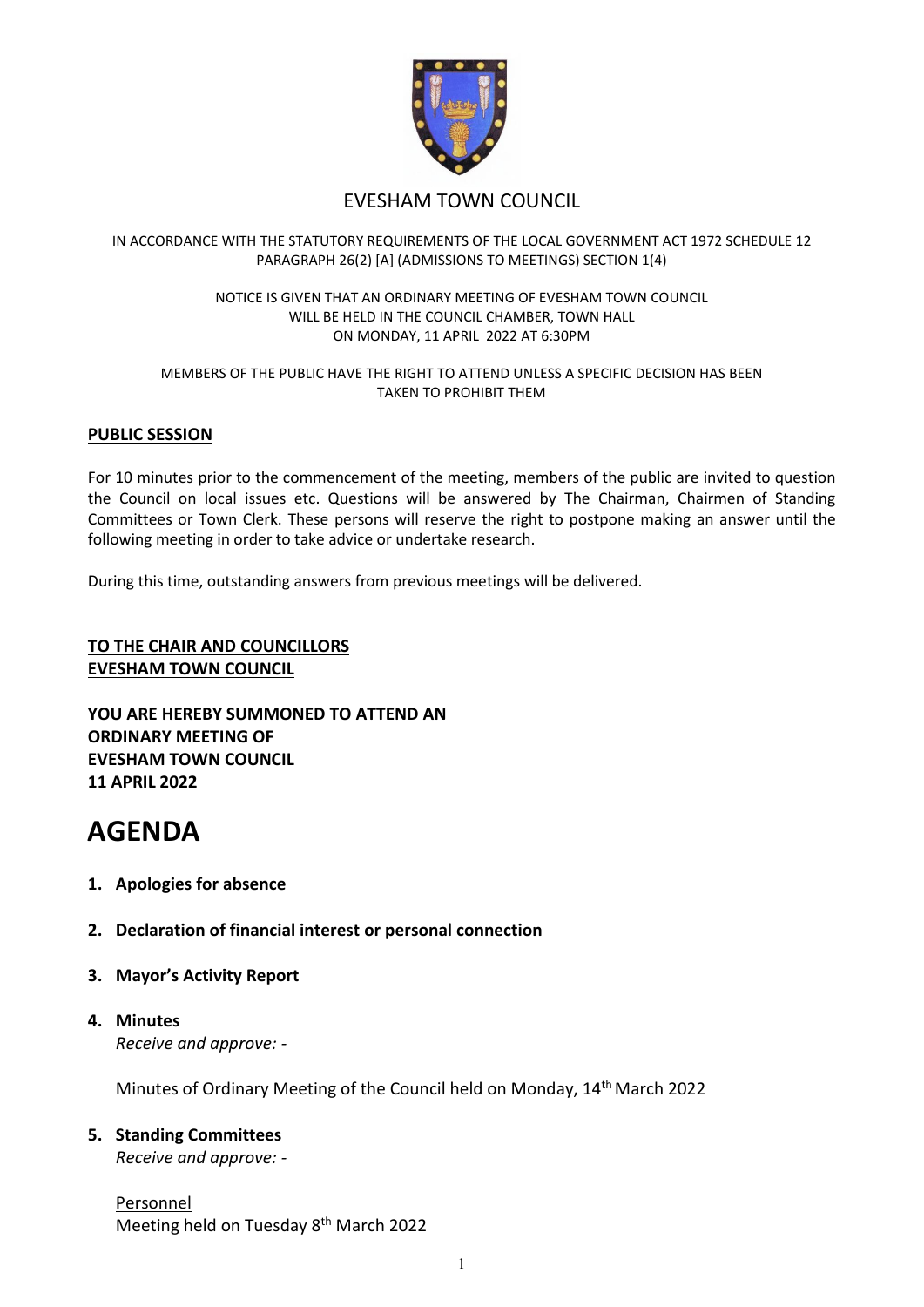

# EVESHAM TOWN COUNCIL

## IN ACCORDANCE WITH THE STATUTORY REQUIREMENTS OF THE LOCAL GOVERNMENT ACT 1972 SCHEDULE 12 PARAGRAPH 26(2) [A] (ADMISSIONS TO MEETINGS) SECTION 1(4)

#### NOTICE IS GIVEN THAT AN ORDINARY MEETING OF EVESHAM TOWN COUNCIL WILL BE HELD IN THE COUNCIL CHAMBER, TOWN HALL ON MONDAY, 11 APRIL 2022 AT 6:30PM

#### MEMBERS OF THE PUBLIC HAVE THE RIGHT TO ATTEND UNLESS A SPECIFIC DECISION HAS BEEN TAKEN TO PROHIBIT THEM

## **PUBLIC SESSION**

For 10 minutes prior to the commencement of the meeting, members of the public are invited to question the Council on local issues etc. Questions will be answered by The Chairman, Chairmen of Standing Committees or Town Clerk. These persons will reserve the right to postpone making an answer until the following meeting in order to take advice or undertake research.

During this time, outstanding answers from previous meetings will be delivered.

## **TO THE CHAIR AND COUNCILLORS EVESHAM TOWN COUNCIL**

**YOU ARE HEREBY SUMMONED TO ATTEND AN ORDINARY MEETING OF EVESHAM TOWN COUNCIL 11 APRIL 2022**

# **AGENDA**

- **1. Apologies for absence**
- **2. Declaration of financial interest or personal connection**
- **3. Mayor's Activity Report**
- **4. Minutes** *Receive and approve: -*

Minutes of Ordinary Meeting of the Council held on Monday, 14th March 2022

## **5. Standing Committees**

*Receive and approve: -*

Personnel Meeting held on Tuesday 8th March 2022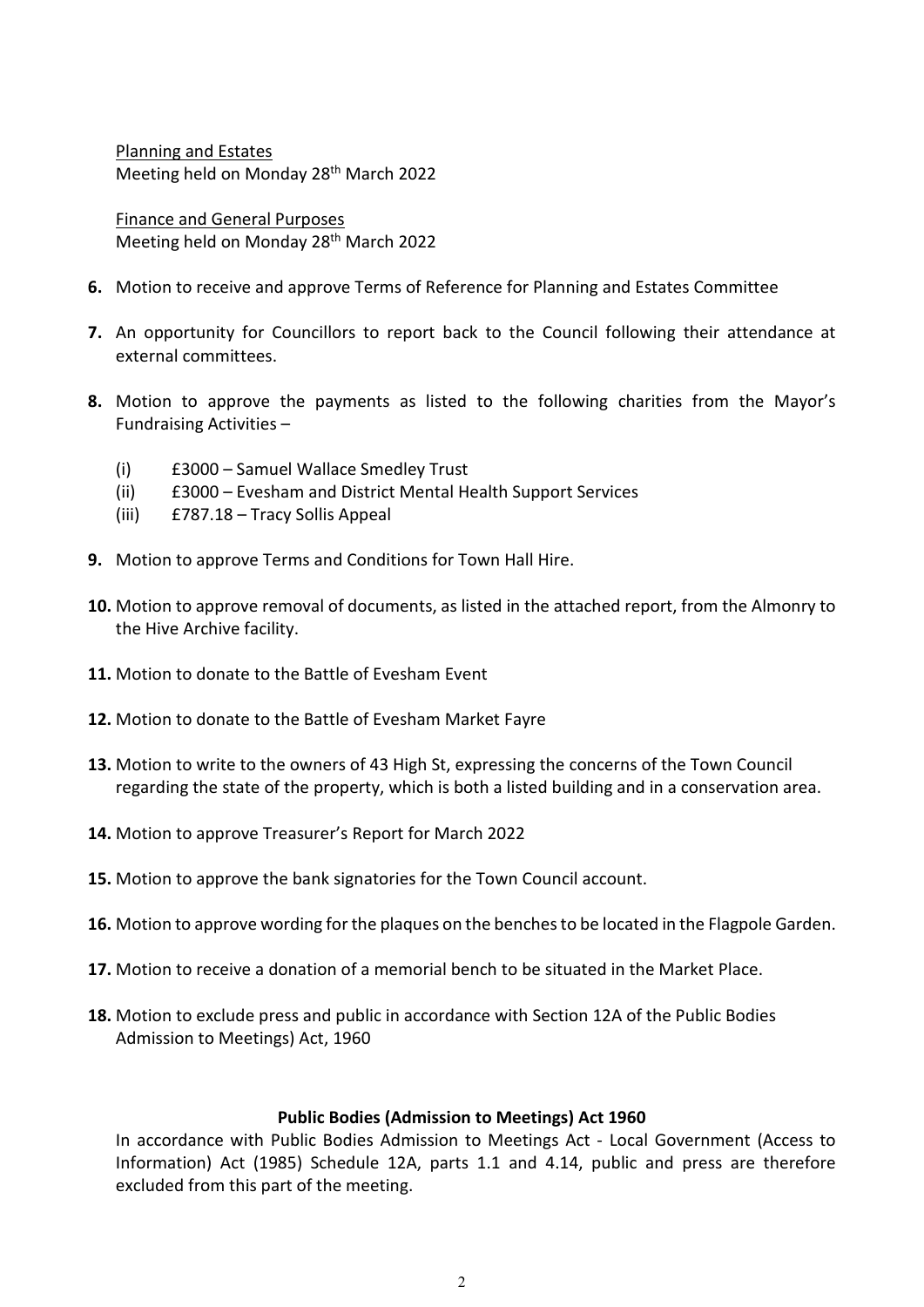Planning and Estates Meeting held on Monday 28<sup>th</sup> March 2022

Finance and General Purposes Meeting held on Monday 28th March 2022

- **6.** Motion to receive and approve Terms of Reference for Planning and Estates Committee
- **7.** An opportunity for Councillors to report back to the Council following their attendance at external committees.
- **8.** Motion to approve the payments as listed to the following charities from the Mayor's Fundraising Activities –
	- (i) £3000 Samuel Wallace Smedley Trust
	- (ii) £3000 Evesham and District Mental Health Support Services
	- (iii) £787.18 Tracy Sollis Appeal
- **9.** Motion to approve Terms and Conditions for Town Hall Hire.
- **10.** Motion to approve removal of documents, as listed in the attached report, from the Almonry to the Hive Archive facility.
- **11.** Motion to donate to the Battle of Evesham Event
- **12.** Motion to donate to the Battle of Evesham Market Fayre
- **13.** Motion to write to the owners of 43 High St, expressing the concerns of the Town Council regarding the state of the property, which is both a listed building and in a conservation area.
- **14.** Motion to approve Treasurer's Report for March 2022
- **15.** Motion to approve the bank signatories for the Town Council account.
- 16. Motion to approve wording for the plaques on the benches to be located in the Flagpole Garden.
- **17.** Motion to receive a donation of a memorial bench to be situated in the Market Place.
- **18.** Motion to exclude press and public in accordance with Section 12A of the Public Bodies Admission to Meetings) Act, 1960

## **Public Bodies (Admission to Meetings) Act 1960**

In accordance with Public Bodies Admission to Meetings Act - Local Government (Access to Information) Act (1985) Schedule 12A, parts 1.1 and 4.14, public and press are therefore excluded from this part of the meeting.